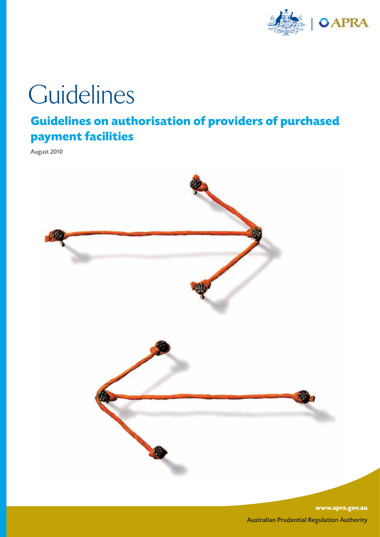

# **Guidelines**

# **Guidelines on authorisation of providers of purchased payment facilities**

August 2010



**www.apra.gov.au** Australian Prudential Regulation Authority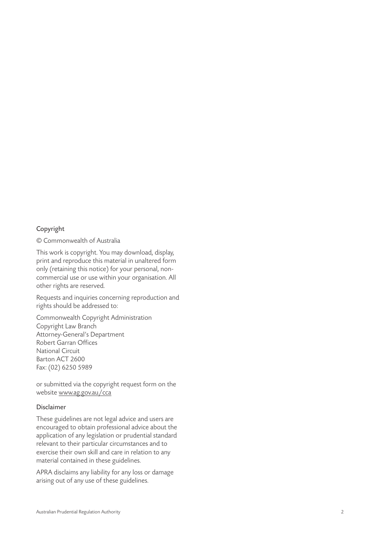#### Copyright

© Commonwealth of Australia

This work is copyright. You may download, display, print and reproduce this material in unaltered form only (retaining this notice) for your personal, noncommercial use or use within your organisation. All other rights are reserved.

Requests and inquiries concerning reproduction and rights should be addressed to:

Commonwealth Copyright Administration Copyright Law Branch Attorney-General's Department Robert Garran Offices National Circuit Barton ACT 2600 Fax: (02) 6250 5989

or submitted via the copyright request form on the website www.ag.gov.au/cca

#### Disclaimer

These guidelines are not legal advice and users are encouraged to obtain professional advice about the application of any legislation or prudential standard relevant to their particular circumstances and to exercise their own skill and care in relation to any material contained in these guidelines.

APRA disclaims any liability for any loss or damage arising out of any use of these guidelines.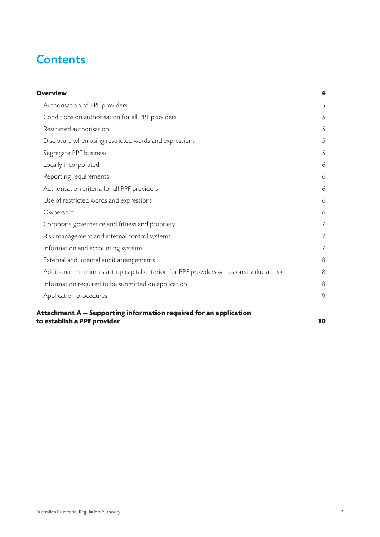# **Contents**

| <b>Overview</b>                                                                                  | 4              |
|--------------------------------------------------------------------------------------------------|----------------|
| Authorisation of PPF providers                                                                   | 5              |
| Conditions on authorisation for all PPF providers                                                | 5              |
| Restricted authorisation                                                                         | 5              |
| Disclosure when using restricted words and expressions                                           | 5              |
| Segregate PPF business                                                                           | 5              |
| Locally incorporated                                                                             | 6              |
| Reporting requirements                                                                           | 6              |
| Authorisation criteria for all PPF providers                                                     | 6              |
| Use of restricted words and expressions                                                          | 6              |
| Ownership                                                                                        | 6              |
| Corporate governance and fitness and propriety                                                   | 7              |
| Risk management and internal control systems                                                     | $\overline{7}$ |
| Information and accounting systems                                                               | 7              |
| External and internal audit arrangements                                                         | 8              |
| Additional minimum start-up capital criterion for PPF providers with stored value at risk        | 8              |
| Information required to be submitted on application                                              | 8              |
| Application procedures                                                                           | 9              |
| Attachment A – Supporting information required for an application<br>to establish a PPF provider | 10             |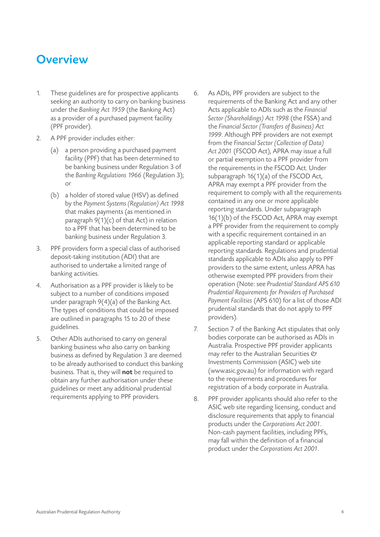# **Overview**

- 1. These guidelines are for prospective applicants seeking an authority to carry on banking business under the *Banking Act 1959* (the Banking Act) as a provider of a purchased payment facility (PPF provider).
- 2. A PPF provider includes either:
	- (a) a person providing a purchased payment facility (PPF) that has been determined to be banking business under Regulation 3 of the *Banking Regulations 1966* (Regulation 3); or
	- (b) a holder of stored value (HSV) as defined by the *Payment Systems (Regulation) Act 1998* that makes payments (as mentioned in paragraph 9(1)(c) of that Act) in relation to a PPF that has been determined to be banking business under Regulation 3.
- 3. PPF providers form a special class of authorised deposit-taking institution (ADI) that are authorised to undertake a limited range of banking activities.
- 4. Authorisation as a PPF provider is likely to be subject to a number of conditions imposed under paragraph 9(4)(a) of the Banking Act. The types of conditions that could be imposed are outlined in paragraphs 15 to 20 of these guidelines.
- 5. Other ADIs authorised to carry on general banking business who also carry on banking business as defined by Regulation 3 are deemed to be already authorised to conduct this banking business. That is, they will not be required to obtain any further authorisation under these guidelines or meet any additional prudential requirements applying to PPF providers.
- 6. As ADIs, PPF providers are subject to the requirements of the Banking Act and any other Acts applicable to ADIs such as the *Financial Sector (Shareholdings) Act 1998* (the FSSA) and the *Financial Sector (Transfers of Business) Act 1999*. Although PPF providers are not exempt from the *Financial Sector (Collection of Data) Act 2001* (FSCOD Act), APRA may issue a full or partial exemption to a PPF provider from the requirements in the FSCOD Act. Under subparagraph 16(1)(a) of the FSCOD Act, APRA may exempt a PPF provider from the requirement to comply with all the requirements contained in any one or more applicable reporting standards. Under subparagraph 16(1)(b) of the FSCOD Act, APRA may exempt a PPF provider from the requirement to comply with a specific requirement contained in an applicable reporting standard or applicable reporting standards. Regulations and prudential standards applicable to ADIs also apply to PPF providers to the same extent, unless APRA has otherwise exempted PPF providers from their operation (Note: see *Prudential Standard APS 610 Prudential Requirements for Providers of Purchased Payment Facilities* (APS 610) for a list of those ADI prudential standards that do not apply to PPF providers).
- 7. Section 7 of the Banking Act stipulates that only bodies corporate can be authorised as ADIs in Australia. Prospective PPF provider applicants may refer to the Australian Securities  $\mathfrak O$ Investments Commission (ASIC) web site (www.asic.gov.au) for information with regard to the requirements and procedures for registration of a body corporate in Australia.
- 8. PPF provider applicants should also refer to the ASIC web site regarding licensing, conduct and disclosure requirements that apply to financial products under the *Corporations Act 2001*. Non-cash payment facilities, including PPFs, may fall within the definition of a financial product under the *Corporations Act 2001*.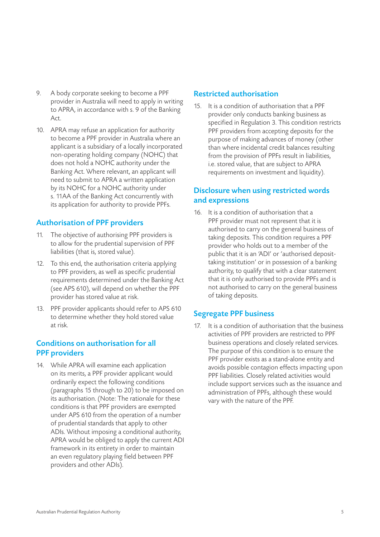- 9. A body corporate seeking to become a PPF provider in Australia will need to apply in writing to APRA, in accordance with s. 9 of the Banking Act.
- 10. APRA may refuse an application for authority to become a PPF provider in Australia where an applicant is a subsidiary of a locally incorporated non-operating holding company (NOHC) that does not hold a NOHC authority under the Banking Act. Where relevant, an applicant will need to submit to APRA a written application by its NOHC for a NOHC authority under s. 11AA of the Banking Act concurrently with its application for authority to provide PPFs.

# Authorisation of PPF providers

- 11. The objective of authorising PPF providers is to allow for the prudential supervision of PPF liabilities (that is, stored value).
- 12. To this end, the authorisation criteria applying to PPF providers, as well as specific prudential requirements determined under the Banking Act (see APS 610), will depend on whether the PPF provider has stored value at risk.
- 13. PPF provider applicants should refer to APS 610 to determine whether they hold stored value at risk.

# Conditions on authorisation for all PPF providers

14. While APRA will examine each application on its merits, a PPF provider applicant would ordinarily expect the following conditions (paragraphs 15 through to 20) to be imposed on its authorisation. (Note: The rationale for these conditions is that PPF providers are exempted under APS 610 from the operation of a number of prudential standards that apply to other ADIs. Without imposing a conditional authority, APRA would be obliged to apply the current ADI framework in its entirety in order to maintain an even regulatory playing field between PPF providers and other ADIs).

## Restricted authorisation

15. It is a condition of authorisation that a PPF provider only conducts banking business as specified in Regulation 3. This condition restricts PPF providers from accepting deposits for the purpose of making advances of money (other than where incidental credit balances resulting from the provision of PPFs result in liabilities, i.e. stored value, that are subject to APRA requirements on investment and liquidity).

# Disclosure when using restricted words and expressions

16. It is a condition of authorisation that a PPF provider must not represent that it is authorised to carry on the general business of taking deposits. This condition requires a PPF provider who holds out to a member of the public that it is an 'ADI' or 'authorised deposittaking institution' or in possession of a banking authority, to qualify that with a clear statement that it is only authorised to provide PPFs and is not authorised to carry on the general business of taking deposits.

## Segregate PPF business

17. It is a condition of authorisation that the business activities of PPF providers are restricted to PPF business operations and closely related services. The purpose of this condition is to ensure the PPF provider exists as a stand-alone entity and avoids possible contagion effects impacting upon PPF liabilities. Closely related activities would include support services such as the issuance and administration of PPFs, although these would vary with the nature of the PPF.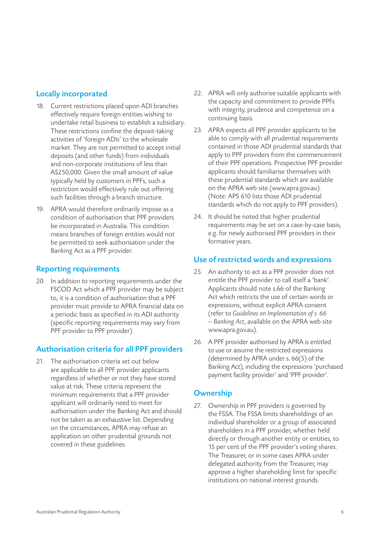## Locally incorporated

- 18. Current restrictions placed upon ADI branches effectively require foreign entities wishing to undertake retail business to establish a subsidiary. These restrictions confine the deposit-taking activities of 'foreign ADIs' to the wholesale market. They are not permitted to accept initial deposits (and other funds) from individuals and non-corporate institutions of less than A\$250,000. Given the small amount of value typically held by customers in PPFs, such a restriction would effectively rule out offering such facilities through a branch structure.
- 19. APRA would therefore ordinarily impose as a condition of authorisation that PPF providers be incorporated in Australia. This condition means branches of foreign entities would not be permitted to seek authorisation under the Banking Act as a PPF provider.

#### Reporting requirements

20. In addition to reporting requirements under the FSCOD Act which a PPF provider may be subject to, it is a condition of authorisation that a PPF provider must provide to APRA financial data on a periodic basis as specified in its ADI authority (specific reporting requirements may vary from PPF provider to PPF provider).

# Authorisation criteria for all PPF providers

21. The authorisation criteria set out below are applicable to all PPF provider applicants regardless of whether or not they have stored value at risk. These criteria represent the minimum requirements that a PPF provider applicant will ordinarily need to meet for authorisation under the Banking Act and should not be taken as an exhaustive list. Depending on the circumstances, APRA may refuse an application on other prudential grounds not covered in these guidelines.

- 22. APRA will only authorise suitable applicants with the capacity and commitment to provide PPFs with integrity, prudence and competence on a continuing basis.
- 23. APRA expects all PPF provider applicants to be able to comply with all prudential requirements contained in those ADI prudential standards that apply to PPF providers from the commencement of their PPF operations. Prospective PPF provider applicants should familiarise themselves with these prudential standards which are available on the APRA web site (www.apra.gov.au). (Note: APS 610 lists those ADI prudential standards which do not apply to PPF providers).
- 24. It should be noted that higher prudential requirements may be set on a case-by-case basis, e.g. for newly authorised PPF providers in their formative years.

# Use of restricted words and expressions

- 25. An authority to act as a PPF provider does not entitle the PPF provider to call itself a 'bank'. Applicants should note s.66 of the Banking Act which restricts the use of certain words or expressions, without explicit APRA consent (refer to *Guidelines on Implementation of s. 66 — Banking Act*, available on the APRA web site www.apra.gov.au).
- 26. A PPF provider authorised by APRA is entitled to use or assume the restricted expressions (determined by APRA under s. 66(5) of the Banking Act), including the expressions 'purchased payment facility provider' and 'PPF provider'.

# **Ownership**

27. Ownership in PPF providers is governed by the FSSA. The FSSA limits shareholdings of an individual shareholder or a group of associated shareholders in a PPF provider, whether held directly or through another entity or entities, to 15 per cent of the PPF provider's voting shares. The Treasurer, or in some cases APRA under delegated authority from the Treasurer, may approve a higher shareholding limit for specific institutions on national interest grounds.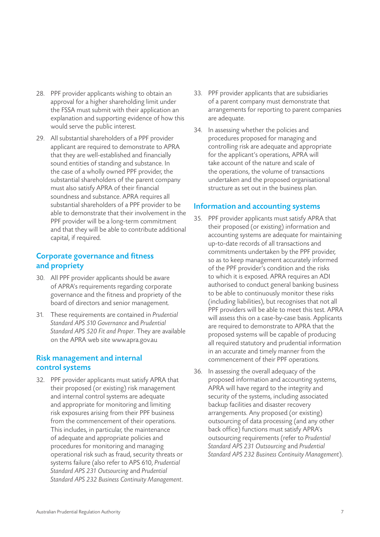- 28. PPF provider applicants wishing to obtain an approval for a higher shareholding limit under the FSSA must submit with their application an explanation and supporting evidence of how this would serve the public interest.
- 29. All substantial shareholders of a PPF provider applicant are required to demonstrate to APRA that they are well-established and financially sound entities of standing and substance. In the case of a wholly owned PPF provider, the substantial shareholders of the parent company must also satisfy APRA of their financial soundness and substance. APRA requires all substantial shareholders of a PPF provider to be able to demonstrate that their involvement in the PPF provider will be a long-term commitment and that they will be able to contribute additional capital, if required.

# Corporate governance and fitness and propriety

- 30. All PPF provider applicants should be aware of APRA's requirements regarding corporate governance and the fitness and propriety of the board of directors and senior management.
- 31. These requirements are contained in *Prudential Standard APS 510 Governance* and *Prudential Standard APS 520 Fit and Proper*. They are available on the APRA web site www.apra.gov.au

# Risk management and internal control systems

32. PPF provider applicants must satisfy APRA that their proposed (or existing) risk management and internal control systems are adequate and appropriate for monitoring and limiting risk exposures arising from their PPF business from the commencement of their operations. This includes, in particular, the maintenance of adequate and appropriate policies and procedures for monitoring and managing operational risk such as fraud, security threats or systems failure (also refer to APS 610, *Prudential Standard APS 231 Outsourcing* and *Prudential Standard APS 232 Business Continuity Management*.

- 33. PPF provider applicants that are subsidiaries of a parent company must demonstrate that arrangements for reporting to parent companies are adequate.
- 34. In assessing whether the policies and procedures proposed for managing and controlling risk are adequate and appropriate for the applicant's operations, APRA will take account of the nature and scale of the operations, the volume of transactions undertaken and the proposed organisational structure as set out in the business plan.

#### Information and accounting systems

- 35. PPF provider applicants must satisfy APRA that their proposed (or existing) information and accounting systems are adequate for maintaining up-to-date records of all transactions and commitments undertaken by the PPF provider, so as to keep management accurately informed of the PPF provider's condition and the risks to which it is exposed. APRA requires an ADI authorised to conduct general banking business to be able to continuously monitor these risks (including liabilities), but recognises that not all PPF providers will be able to meet this test. APRA will assess this on a case-by-case basis. Applicants are required to demonstrate to APRA that the proposed systems will be capable of producing all required statutory and prudential information in an accurate and timely manner from the commencement of their PPF operations.
- 36. In assessing the overall adequacy of the proposed information and accounting systems, APRA will have regard to the integrity and security of the systems, including associated backup facilities and disaster recovery arrangements. Any proposed (or existing) outsourcing of data processing (and any other back office) functions must satisfy APRA's outsourcing requirements (refer to *Prudential Standard APS 231 Outsourcing* and *Prudential Standard APS 232 Business Continuity Management*).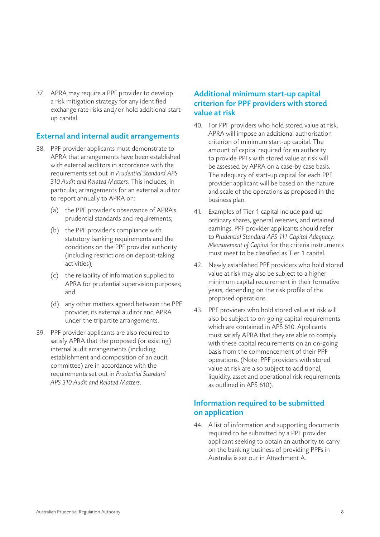37. APRA may require a PPF provider to develop a risk mitigation strategy for any identified exchange rate risks and/or hold additional startup capital.

#### External and internal audit arrangements

- 38. PPF provider applicants must demonstrate to APRA that arrangements have been established with external auditors in accordance with the requirements set out in *Prudential Standard APS 310 Audit and Related Matters*. This includes, in particular, arrangements for an external auditor to report annually to APRA on:
	- (a) the PPF provider's observance of APRA's prudential standards and requirements;
	- (b) the PPF provider's compliance with statutory banking requirements and the conditions on the PPF provider authority (including restrictions on deposit-taking activities);
	- (c) the reliability of information supplied to APRA for prudential supervision purposes; and
	- (d) any other matters agreed between the PPF provider, its external auditor and APRA under the tripartite arrangements.
- 39. PPF provider applicants are also required to satisfy APRA that the proposed (or existing) internal audit arrangements (including establishment and composition of an audit committee) are in accordance with the requirements set out in *Prudential Standard APS 310 Audit and Related Matters*.

# Additional minimum start-up capital criterion for PPF providers with stored value at risk

- 40. For PPF providers who hold stored value at risk, APRA will impose an additional authorisation criterion of minimum start-up capital. The amount of capital required for an authority to provide PPFs with stored value at risk will be assessed by APRA on a case-by case basis. The adequacy of start-up capital for each PPF provider applicant will be based on the nature and scale of the operations as proposed in the business plan.
- 41. Examples of Tier 1 capital include paid-up ordinary shares, general reserves, and retained earnings. PPF provider applicants should refer to *Prudential Standard APS 111 Capital Adequacy: Measurement of Capital* for the criteria instruments must meet to be classified as Tier 1 capital.
- 42. Newly established PPF providers who hold stored value at risk may also be subject to a higher minimum capital requirement in their formative years, depending on the risk profile of the proposed operations.
- 43. PPF providers who hold stored value at risk will also be subject to on-going capital requirements which are contained in APS 610. Applicants must satisfy APRA that they are able to comply with these capital requirements on an on-going basis from the commencement of their PPF operations. (Note: PPF providers with stored value at risk are also subject to additional, liquidity, asset and operational risk requirements as outlined in APS 610).

# Information required to be submitted on application

44. A list of information and supporting documents required to be submitted by a PPF provider applicant seeking to obtain an authority to carry on the banking business of providing PPFs in Australia is set out in Attachment A.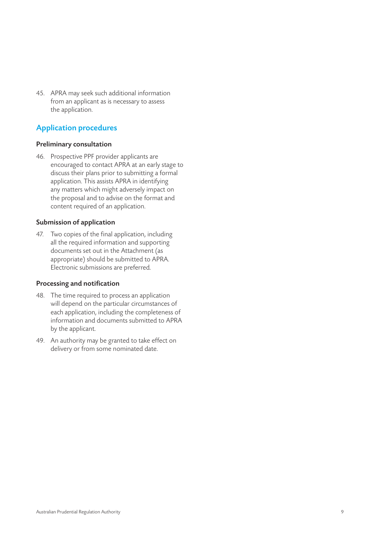45. APRA may seek such additional information from an applicant as is necessary to assess the application.

# Application procedures

#### Preliminary consultation

46. Prospective PPF provider applicants are encouraged to contact APRA at an early stage to discuss their plans prior to submitting a formal application. This assists APRA in identifying any matters which might adversely impact on the proposal and to advise on the format and content required of an application.

#### Submission of application

47. Two copies of the final application, including all the required information and supporting documents set out in the Attachment (as appropriate) should be submitted to APRA. Electronic submissions are preferred.

#### Processing and notification

- 48. The time required to process an application will depend on the particular circumstances of each application, including the completeness of information and documents submitted to APRA by the applicant.
- 49. An authority may be granted to take effect on delivery or from some nominated date.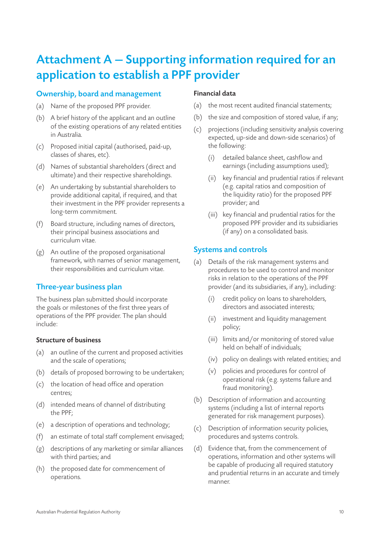# Attachment A — Supporting information required for an application to establish a PPF provider

## Ownership, board and management

- (a) Name of the proposed PPF provider.
- (b) A brief history of the applicant and an outline of the existing operations of any related entities in Australia.
- (c) Proposed initial capital (authorised, paid-up, classes of shares, etc).
- (d) Names of substantial shareholders (direct and ultimate) and their respective shareholdings.
- (e) An undertaking by substantial shareholders to provide additional capital, if required, and that their investment in the PPF provider represents a long-term commitment.
- (f) Board structure, including names of directors, their principal business associations and curriculum vitae.
- (g) An outline of the proposed organisational framework, with names of senior management, their responsibilities and curriculum vitae.

# Three-year business plan

The business plan submitted should incorporate the goals or milestones of the first three years of operations of the PPF provider. The plan should include:

#### Structure of business

- (a) an outline of the current and proposed activities and the scale of operations;
- (b) details of proposed borrowing to be undertaken;
- (c) the location of head office and operation centres;
- (d) intended means of channel of distributing the PPF;
- (e) a description of operations and technology;
- (f) an estimate of total staff complement envisaged;
- (g) descriptions of any marketing or similar alliances with third parties; and
- (h) the proposed date for commencement of operations.

#### Financial data

- (a) the most recent audited financial statements;
- (b) the size and composition of stored value, if any;
- (c) projections (including sensitivity analysis covering expected, up-side and down-side scenarios) of the following:
	- (i) detailed balance sheet, cashflow and earnings (including assumptions used);
	- (ii) key financial and prudential ratios if relevant (e.g. capital ratios and composition of the liquidity ratio) for the proposed PPF provider; and
	- (iii) key financial and prudential ratios for the proposed PPF provider and its subsidiaries (if any) on a consolidated basis.

## Systems and controls

- (a) Details of the risk management systems and procedures to be used to control and monitor risks in relation to the operations of the PPF provider (and its subsidiaries, if any), including:
	- (i) credit policy on loans to shareholders, directors and associated interests;
	- (ii) investment and liquidity management policy;
	- (iii) limits and/or monitoring of stored value held on behalf of individuals;
	- (iv) policy on dealings with related entities; and
	- (v) policies and procedures for control of operational risk (e.g. systems failure and fraud monitoring).
- (b) Description of information and accounting systems (including a list of internal reports generated for risk management purposes).
- (c) Description of information security policies, procedures and systems controls.
- (d) Evidence that, from the commencement of operations, information and other systems will be capable of producing all required statutory and prudential returns in an accurate and timely manner.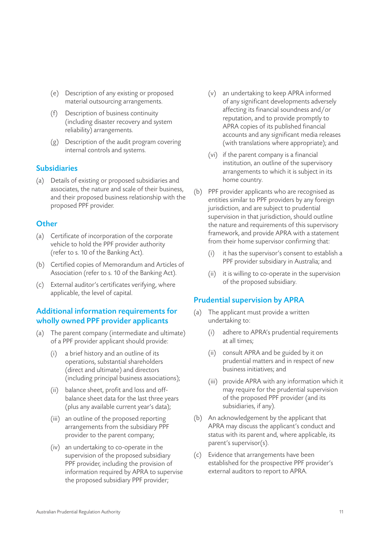- (e) Description of any existing or proposed material outsourcing arrangements.
- (f) Description of business continuity (including disaster recovery and system reliability) arrangements.
- (g) Description of the audit program covering internal controls and systems.

#### **Subsidiaries**

(a) Details of existing or proposed subsidiaries and associates, the nature and scale of their business, and their proposed business relationship with the proposed PPF provider.

#### **Other**

- (a) Certificate of incorporation of the corporate vehicle to hold the PPF provider authority (refer to s. 10 of the Banking Act).
- (b) Certified copies of Memorandum and Articles of Association (refer to s. 10 of the Banking Act).
- (c) External auditor's certificates verifying, where applicable, the level of capital.

# Additional information requirements for wholly owned PPF provider applicants

- (a) The parent company (intermediate and ultimate) of a PPF provider applicant should provide:
	- (i) a brief history and an outline of its operations, substantial shareholders (direct and ultimate) and directors (including principal business associations);
	- (ii) balance sheet, profit and loss and offbalance sheet data for the last three years (plus any available current year's data);
	- (iii) an outline of the proposed reporting arrangements from the subsidiary PPF provider to the parent company;
	- (iv) an undertaking to co-operate in the supervision of the proposed subsidiary PPF provider, including the provision of information required by APRA to supervise the proposed subsidiary PPF provider;
- (v) an undertaking to keep APRA informed of any significant developments adversely affecting its financial soundness and/or reputation, and to provide promptly to APRA copies of its published financial accounts and any significant media releases (with translations where appropriate); and
- (vi) if the parent company is a financial institution, an outline of the supervisory arrangements to which it is subject in its home country.
- (b) PPF provider applicants who are recognised as entities similar to PPF providers by any foreign jurisdiction, and are subject to prudential supervision in that jurisdiction, should outline the nature and requirements of this supervisory framework, and provide APRA with a statement from their home supervisor confirming that:
	- (i) it has the supervisor's consent to establish a PPF provider subsidiary in Australia; and
	- (ii) it is willing to co-operate in the supervision of the proposed subsidiary.

# Prudential supervision by APRA

- (a) The applicant must provide a written undertaking to:
	- (i) adhere to APRA's prudential requirements at all times;
	- (ii) consult APRA and be guided by it on prudential matters and in respect of new business initiatives; and
	- (iii) provide APRA with any information which it may require for the prudential supervision of the proposed PPF provider (and its subsidiaries, if any).
- (b) An acknowledgement by the applicant that APRA may discuss the applicant's conduct and status with its parent and, where applicable, its parent's supervisor(s).
- (c) Evidence that arrangements have been established for the prospective PPF provider's external auditors to report to APRA.